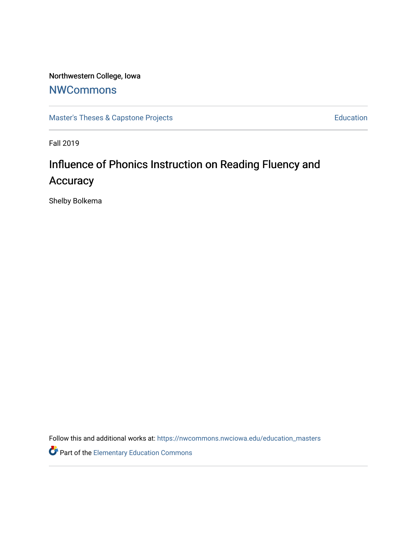### Northwestern College, Iowa

## **[NWCommons](https://nwcommons.nwciowa.edu/)**

[Master's Theses & Capstone Projects](https://nwcommons.nwciowa.edu/education_masters) **Education** Education

Fall 2019

## Influence of Phonics Instruction on Reading Fluency and **Accuracy**

Shelby Bolkema

Follow this and additional works at: [https://nwcommons.nwciowa.edu/education\\_masters](https://nwcommons.nwciowa.edu/education_masters?utm_source=nwcommons.nwciowa.edu%2Feducation_masters%2F189&utm_medium=PDF&utm_campaign=PDFCoverPages)

Part of the [Elementary Education Commons](http://network.bepress.com/hgg/discipline/1378?utm_source=nwcommons.nwciowa.edu%2Feducation_masters%2F189&utm_medium=PDF&utm_campaign=PDFCoverPages)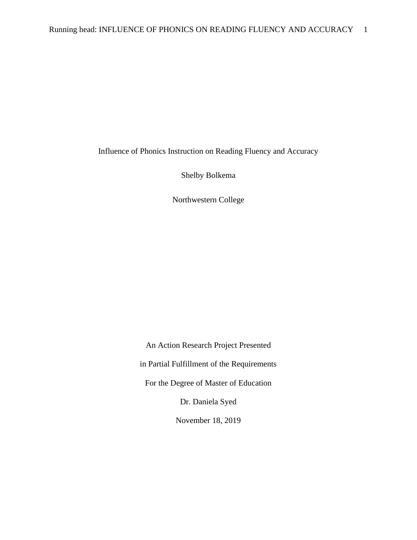Influence of Phonics Instruction on Reading Fluency and Accuracy

Shelby Bolkema

Northwestern College

An Action Research Project Presented in Partial Fulfillment of the Requirements For the Degree of Master of Education Dr. Daniela Syed

November 18, 2019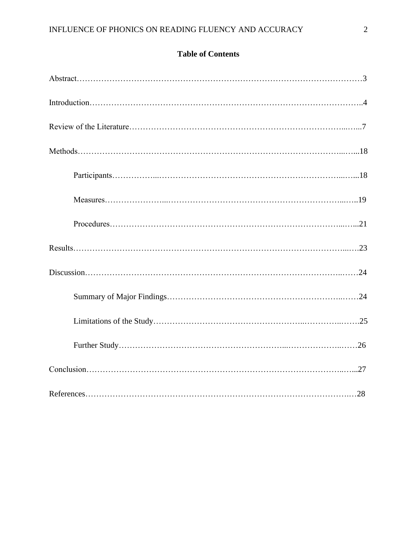### **Table of Contents**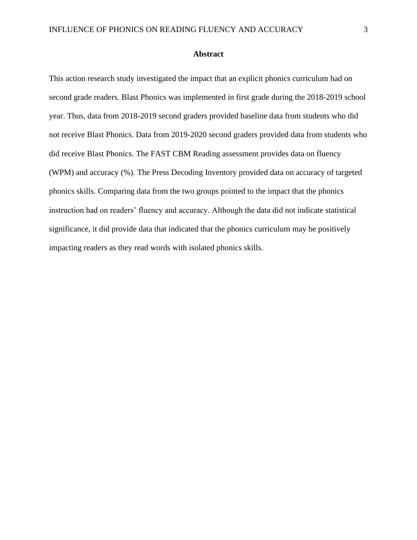#### **Abstract**

This action research study investigated the impact that an explicit phonics curriculum had on second grade readers. Blast Phonics was implemented in first grade during the 2018-2019 school year. Thus, data from 2018-2019 second graders provided baseline data from students who did not receive Blast Phonics. Data from 2019-2020 second graders provided data from students who did receive Blast Phonics. The FAST CBM Reading assessment provides data on fluency (WPM) and accuracy (%). The Press Decoding Inventory provided data on accuracy of targeted phonics skills. Comparing data from the two groups pointed to the impact that the phonics instruction had on readers' fluency and accuracy. Although the data did not indicate statistical significance, it did provide data that indicated that the phonics curriculum may be positively impacting readers as they read words with isolated phonics skills.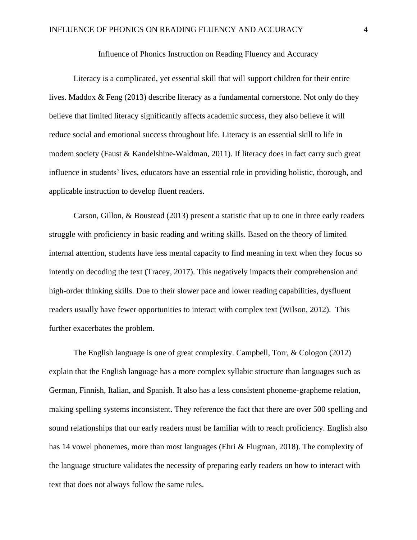#### Influence of Phonics Instruction on Reading Fluency and Accuracy

Literacy is a complicated, yet essential skill that will support children for their entire lives. Maddox & Feng (2013) describe literacy as a fundamental cornerstone. Not only do they believe that limited literacy significantly affects academic success, they also believe it will reduce social and emotional success throughout life. Literacy is an essential skill to life in modern society (Faust & Kandelshine-Waldman, 2011). If literacy does in fact carry such great influence in students' lives, educators have an essential role in providing holistic, thorough, and applicable instruction to develop fluent readers.

Carson, Gillon, & Boustead (2013) present a statistic that up to one in three early readers struggle with proficiency in basic reading and writing skills. Based on the theory of limited internal attention, students have less mental capacity to find meaning in text when they focus so intently on decoding the text (Tracey, 2017). This negatively impacts their comprehension and high-order thinking skills. Due to their slower pace and lower reading capabilities, dysfluent readers usually have fewer opportunities to interact with complex text (Wilson, 2012). This further exacerbates the problem.

The English language is one of great complexity. Campbell, Torr, & Cologon (2012) explain that the English language has a more complex syllabic structure than languages such as German, Finnish, Italian, and Spanish. It also has a less consistent phoneme-grapheme relation, making spelling systems inconsistent. They reference the fact that there are over 500 spelling and sound relationships that our early readers must be familiar with to reach proficiency. English also has 14 vowel phonemes, more than most languages (Ehri & Flugman, 2018). The complexity of the language structure validates the necessity of preparing early readers on how to interact with text that does not always follow the same rules.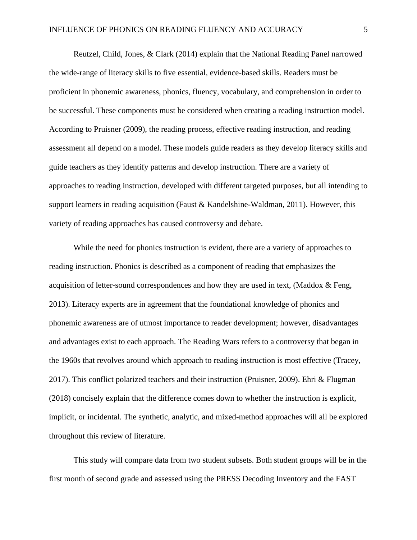Reutzel, Child, Jones, & Clark (2014) explain that the National Reading Panel narrowed the wide-range of literacy skills to five essential, evidence-based skills. Readers must be proficient in phonemic awareness, phonics, fluency, vocabulary, and comprehension in order to be successful. These components must be considered when creating a reading instruction model. According to Pruisner (2009), the reading process, effective reading instruction, and reading assessment all depend on a model. These models guide readers as they develop literacy skills and guide teachers as they identify patterns and develop instruction. There are a variety of approaches to reading instruction, developed with different targeted purposes, but all intending to support learners in reading acquisition (Faust & Kandelshine-Waldman, 2011). However, this variety of reading approaches has caused controversy and debate.

While the need for phonics instruction is evident, there are a variety of approaches to reading instruction. Phonics is described as a component of reading that emphasizes the acquisition of letter-sound correspondences and how they are used in text, (Maddox & Feng, 2013). Literacy experts are in agreement that the foundational knowledge of phonics and phonemic awareness are of utmost importance to reader development; however, disadvantages and advantages exist to each approach. The Reading Wars refers to a controversy that began in the 1960s that revolves around which approach to reading instruction is most effective (Tracey, 2017). This conflict polarized teachers and their instruction (Pruisner, 2009). Ehri & Flugman (2018) concisely explain that the difference comes down to whether the instruction is explicit, implicit, or incidental. The synthetic, analytic, and mixed-method approaches will all be explored throughout this review of literature.

This study will compare data from two student subsets. Both student groups will be in the first month of second grade and assessed using the PRESS Decoding Inventory and the FAST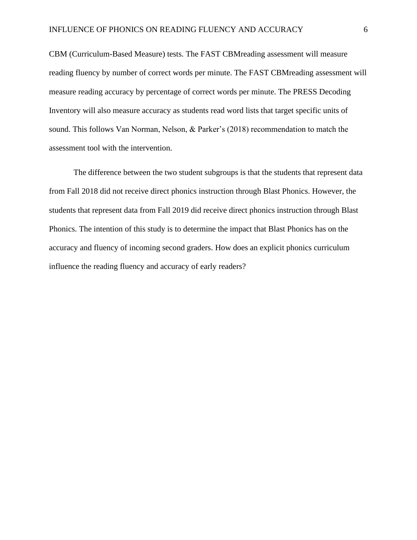CBM (Curriculum-Based Measure) tests. The FAST CBMreading assessment will measure reading fluency by number of correct words per minute. The FAST CBMreading assessment will measure reading accuracy by percentage of correct words per minute. The PRESS Decoding Inventory will also measure accuracy as students read word lists that target specific units of sound. This follows Van Norman, Nelson, & Parker's (2018) recommendation to match the assessment tool with the intervention.

The difference between the two student subgroups is that the students that represent data from Fall 2018 did not receive direct phonics instruction through Blast Phonics. However, the students that represent data from Fall 2019 did receive direct phonics instruction through Blast Phonics. The intention of this study is to determine the impact that Blast Phonics has on the accuracy and fluency of incoming second graders. How does an explicit phonics curriculum influence the reading fluency and accuracy of early readers?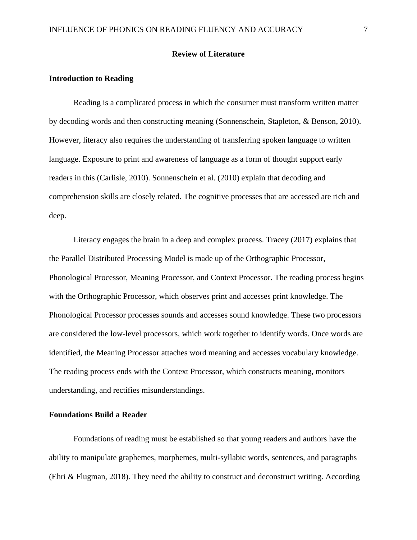#### **Review of Literature**

#### **Introduction to Reading**

Reading is a complicated process in which the consumer must transform written matter by decoding words and then constructing meaning (Sonnenschein, Stapleton, & Benson, 2010). However, literacy also requires the understanding of transferring spoken language to written language. Exposure to print and awareness of language as a form of thought support early readers in this (Carlisle, 2010). Sonnenschein et al. (2010) explain that decoding and comprehension skills are closely related. The cognitive processes that are accessed are rich and deep.

Literacy engages the brain in a deep and complex process. Tracey (2017) explains that the Parallel Distributed Processing Model is made up of the Orthographic Processor, Phonological Processor, Meaning Processor, and Context Processor. The reading process begins with the Orthographic Processor, which observes print and accesses print knowledge. The Phonological Processor processes sounds and accesses sound knowledge. These two processors are considered the low-level processors, which work together to identify words. Once words are identified, the Meaning Processor attaches word meaning and accesses vocabulary knowledge. The reading process ends with the Context Processor, which constructs meaning, monitors understanding, and rectifies misunderstandings.

#### **Foundations Build a Reader**

Foundations of reading must be established so that young readers and authors have the ability to manipulate graphemes, morphemes, multi-syllabic words, sentences, and paragraphs (Ehri & Flugman, 2018). They need the ability to construct and deconstruct writing. According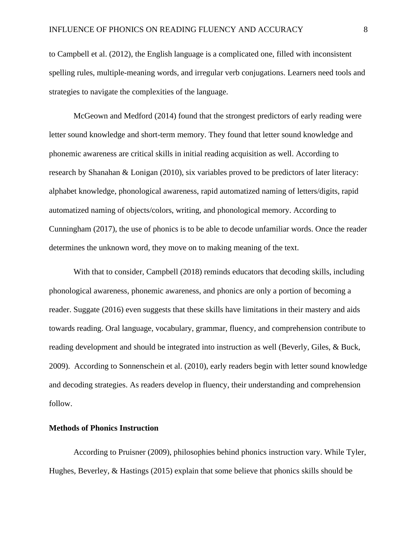to Campbell et al. (2012), the English language is a complicated one, filled with inconsistent spelling rules, multiple-meaning words, and irregular verb conjugations. Learners need tools and strategies to navigate the complexities of the language.

McGeown and Medford (2014) found that the strongest predictors of early reading were letter sound knowledge and short-term memory. They found that letter sound knowledge and phonemic awareness are critical skills in initial reading acquisition as well. According to research by Shanahan & Lonigan (2010), six variables proved to be predictors of later literacy: alphabet knowledge, phonological awareness, rapid automatized naming of letters/digits, rapid automatized naming of objects/colors, writing, and phonological memory. According to Cunningham (2017), the use of phonics is to be able to decode unfamiliar words. Once the reader determines the unknown word, they move on to making meaning of the text.

With that to consider, Campbell (2018) reminds educators that decoding skills, including phonological awareness, phonemic awareness, and phonics are only a portion of becoming a reader. Suggate (2016) even suggests that these skills have limitations in their mastery and aids towards reading. Oral language, vocabulary, grammar, fluency, and comprehension contribute to reading development and should be integrated into instruction as well (Beverly, Giles, & Buck, 2009). According to Sonnenschein et al. (2010), early readers begin with letter sound knowledge and decoding strategies. As readers develop in fluency, their understanding and comprehension follow.

#### **Methods of Phonics Instruction**

According to Pruisner (2009), philosophies behind phonics instruction vary. While Tyler, Hughes, Beverley, & Hastings (2015) explain that some believe that phonics skills should be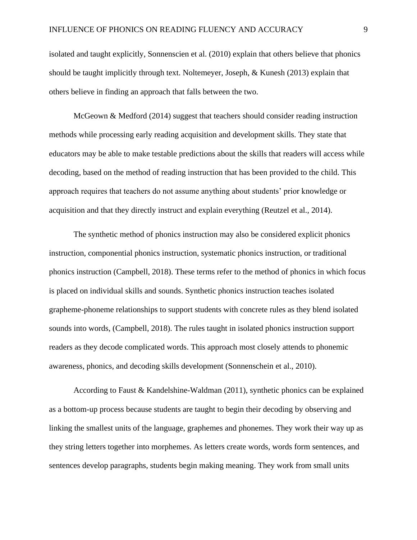isolated and taught explicitly, Sonnenscien et al. (2010) explain that others believe that phonics should be taught implicitly through text. Noltemeyer, Joseph, & Kunesh (2013) explain that others believe in finding an approach that falls between the two.

McGeown & Medford (2014) suggest that teachers should consider reading instruction methods while processing early reading acquisition and development skills. They state that educators may be able to make testable predictions about the skills that readers will access while decoding, based on the method of reading instruction that has been provided to the child. This approach requires that teachers do not assume anything about students' prior knowledge or acquisition and that they directly instruct and explain everything (Reutzel et al., 2014).

The synthetic method of phonics instruction may also be considered explicit phonics instruction, componential phonics instruction, systematic phonics instruction, or traditional phonics instruction (Campbell, 2018). These terms refer to the method of phonics in which focus is placed on individual skills and sounds. Synthetic phonics instruction teaches isolated grapheme-phoneme relationships to support students with concrete rules as they blend isolated sounds into words, (Campbell, 2018). The rules taught in isolated phonics instruction support readers as they decode complicated words. This approach most closely attends to phonemic awareness, phonics, and decoding skills development (Sonnenschein et al., 2010).

According to Faust & Kandelshine-Waldman (2011), synthetic phonics can be explained as a bottom-up process because students are taught to begin their decoding by observing and linking the smallest units of the language, graphemes and phonemes. They work their way up as they string letters together into morphemes. As letters create words, words form sentences, and sentences develop paragraphs, students begin making meaning. They work from small units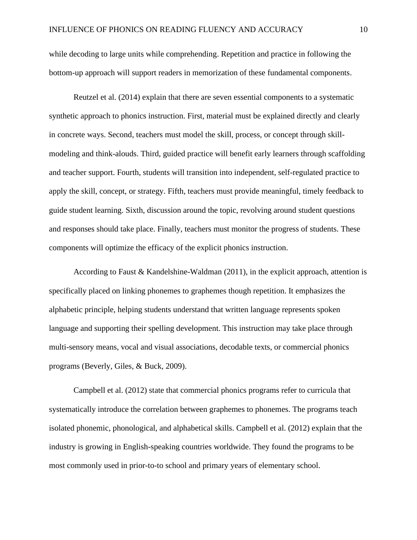while decoding to large units while comprehending. Repetition and practice in following the bottom-up approach will support readers in memorization of these fundamental components.

Reutzel et al. (2014) explain that there are seven essential components to a systematic synthetic approach to phonics instruction. First, material must be explained directly and clearly in concrete ways. Second, teachers must model the skill, process, or concept through skillmodeling and think-alouds. Third, guided practice will benefit early learners through scaffolding and teacher support. Fourth, students will transition into independent, self-regulated practice to apply the skill, concept, or strategy. Fifth, teachers must provide meaningful, timely feedback to guide student learning. Sixth, discussion around the topic, revolving around student questions and responses should take place. Finally, teachers must monitor the progress of students. These components will optimize the efficacy of the explicit phonics instruction.

According to Faust & Kandelshine-Waldman (2011), in the explicit approach, attention is specifically placed on linking phonemes to graphemes though repetition. It emphasizes the alphabetic principle, helping students understand that written language represents spoken language and supporting their spelling development. This instruction may take place through multi-sensory means, vocal and visual associations, decodable texts, or commercial phonics programs (Beverly, Giles, & Buck, 2009).

Campbell et al. (2012) state that commercial phonics programs refer to curricula that systematically introduce the correlation between graphemes to phonemes. The programs teach isolated phonemic, phonological, and alphabetical skills. Campbell et al. (2012) explain that the industry is growing in English-speaking countries worldwide. They found the programs to be most commonly used in prior-to-to school and primary years of elementary school.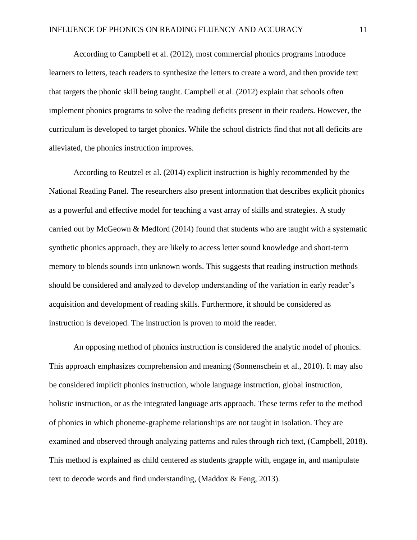According to Campbell et al. (2012), most commercial phonics programs introduce learners to letters, teach readers to synthesize the letters to create a word, and then provide text that targets the phonic skill being taught. Campbell et al. (2012) explain that schools often implement phonics programs to solve the reading deficits present in their readers. However, the curriculum is developed to target phonics. While the school districts find that not all deficits are alleviated, the phonics instruction improves.

According to Reutzel et al. (2014) explicit instruction is highly recommended by the National Reading Panel. The researchers also present information that describes explicit phonics as a powerful and effective model for teaching a vast array of skills and strategies. A study carried out by McGeown & Medford (2014) found that students who are taught with a systematic synthetic phonics approach, they are likely to access letter sound knowledge and short-term memory to blends sounds into unknown words. This suggests that reading instruction methods should be considered and analyzed to develop understanding of the variation in early reader's acquisition and development of reading skills. Furthermore, it should be considered as instruction is developed. The instruction is proven to mold the reader.

An opposing method of phonics instruction is considered the analytic model of phonics. This approach emphasizes comprehension and meaning (Sonnenschein et al., 2010). It may also be considered implicit phonics instruction, whole language instruction, global instruction, holistic instruction, or as the integrated language arts approach. These terms refer to the method of phonics in which phoneme-grapheme relationships are not taught in isolation. They are examined and observed through analyzing patterns and rules through rich text, (Campbell, 2018). This method is explained as child centered as students grapple with, engage in, and manipulate text to decode words and find understanding, (Maddox & Feng, 2013).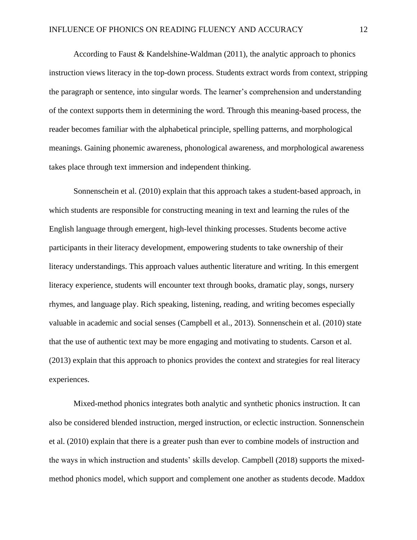According to Faust & Kandelshine-Waldman  $(2011)$ , the analytic approach to phonics instruction views literacy in the top-down process. Students extract words from context, stripping the paragraph or sentence, into singular words. The learner's comprehension and understanding of the context supports them in determining the word. Through this meaning-based process, the reader becomes familiar with the alphabetical principle, spelling patterns, and morphological meanings. Gaining phonemic awareness, phonological awareness, and morphological awareness takes place through text immersion and independent thinking.

Sonnenschein et al. (2010) explain that this approach takes a student-based approach, in which students are responsible for constructing meaning in text and learning the rules of the English language through emergent, high-level thinking processes. Students become active participants in their literacy development, empowering students to take ownership of their literacy understandings. This approach values authentic literature and writing. In this emergent literacy experience, students will encounter text through books, dramatic play, songs, nursery rhymes, and language play. Rich speaking, listening, reading, and writing becomes especially valuable in academic and social senses (Campbell et al., 2013). Sonnenschein et al. (2010) state that the use of authentic text may be more engaging and motivating to students. Carson et al. (2013) explain that this approach to phonics provides the context and strategies for real literacy experiences.

Mixed-method phonics integrates both analytic and synthetic phonics instruction. It can also be considered blended instruction, merged instruction, or eclectic instruction. Sonnenschein et al. (2010) explain that there is a greater push than ever to combine models of instruction and the ways in which instruction and students' skills develop. Campbell (2018) supports the mixedmethod phonics model, which support and complement one another as students decode. Maddox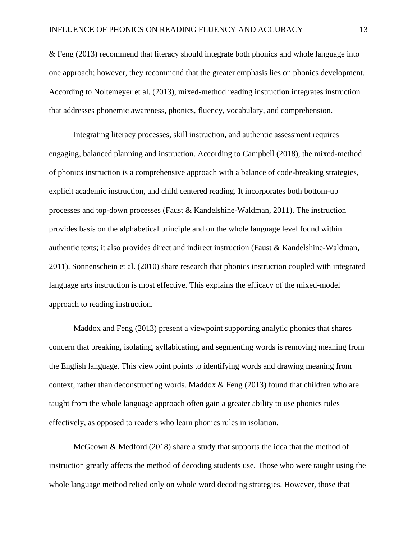& Feng (2013) recommend that literacy should integrate both phonics and whole language into one approach; however, they recommend that the greater emphasis lies on phonics development. According to Noltemeyer et al. (2013), mixed-method reading instruction integrates instruction that addresses phonemic awareness, phonics, fluency, vocabulary, and comprehension.

Integrating literacy processes, skill instruction, and authentic assessment requires engaging, balanced planning and instruction. According to Campbell (2018), the mixed-method of phonics instruction is a comprehensive approach with a balance of code-breaking strategies, explicit academic instruction, and child centered reading. It incorporates both bottom-up processes and top-down processes (Faust & Kandelshine-Waldman, 2011). The instruction provides basis on the alphabetical principle and on the whole language level found within authentic texts; it also provides direct and indirect instruction (Faust & Kandelshine-Waldman, 2011). Sonnenschein et al. (2010) share research that phonics instruction coupled with integrated language arts instruction is most effective. This explains the efficacy of the mixed-model approach to reading instruction.

Maddox and Feng (2013) present a viewpoint supporting analytic phonics that shares concern that breaking, isolating, syllabicating, and segmenting words is removing meaning from the English language. This viewpoint points to identifying words and drawing meaning from context, rather than deconstructing words. Maddox  $\&$  Feng (2013) found that children who are taught from the whole language approach often gain a greater ability to use phonics rules effectively, as opposed to readers who learn phonics rules in isolation.

McGeown & Medford (2018) share a study that supports the idea that the method of instruction greatly affects the method of decoding students use. Those who were taught using the whole language method relied only on whole word decoding strategies. However, those that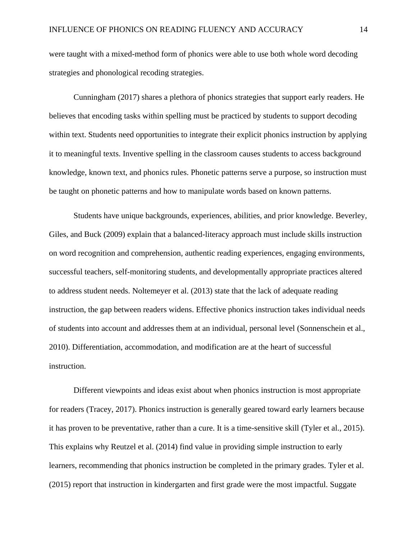were taught with a mixed-method form of phonics were able to use both whole word decoding strategies and phonological recoding strategies.

Cunningham (2017) shares a plethora of phonics strategies that support early readers. He believes that encoding tasks within spelling must be practiced by students to support decoding within text. Students need opportunities to integrate their explicit phonics instruction by applying it to meaningful texts. Inventive spelling in the classroom causes students to access background knowledge, known text, and phonics rules. Phonetic patterns serve a purpose, so instruction must be taught on phonetic patterns and how to manipulate words based on known patterns.

Students have unique backgrounds, experiences, abilities, and prior knowledge. Beverley, Giles, and Buck (2009) explain that a balanced-literacy approach must include skills instruction on word recognition and comprehension, authentic reading experiences, engaging environments, successful teachers, self-monitoring students, and developmentally appropriate practices altered to address student needs. Noltemeyer et al. (2013) state that the lack of adequate reading instruction, the gap between readers widens. Effective phonics instruction takes individual needs of students into account and addresses them at an individual, personal level (Sonnenschein et al., 2010). Differentiation, accommodation, and modification are at the heart of successful instruction.

Different viewpoints and ideas exist about when phonics instruction is most appropriate for readers (Tracey, 2017). Phonics instruction is generally geared toward early learners because it has proven to be preventative, rather than a cure. It is a time-sensitive skill (Tyler et al., 2015). This explains why Reutzel et al. (2014) find value in providing simple instruction to early learners, recommending that phonics instruction be completed in the primary grades. Tyler et al. (2015) report that instruction in kindergarten and first grade were the most impactful. Suggate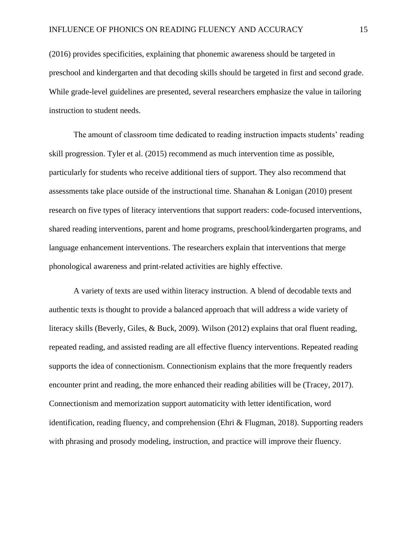(2016) provides specificities, explaining that phonemic awareness should be targeted in preschool and kindergarten and that decoding skills should be targeted in first and second grade. While grade-level guidelines are presented, several researchers emphasize the value in tailoring instruction to student needs.

The amount of classroom time dedicated to reading instruction impacts students' reading skill progression. Tyler et al. (2015) recommend as much intervention time as possible, particularly for students who receive additional tiers of support. They also recommend that assessments take place outside of the instructional time. Shanahan & Lonigan (2010) present research on five types of literacy interventions that support readers: code-focused interventions, shared reading interventions, parent and home programs, preschool/kindergarten programs, and language enhancement interventions. The researchers explain that interventions that merge phonological awareness and print-related activities are highly effective.

A variety of texts are used within literacy instruction. A blend of decodable texts and authentic texts is thought to provide a balanced approach that will address a wide variety of literacy skills (Beverly, Giles, & Buck, 2009). Wilson (2012) explains that oral fluent reading, repeated reading, and assisted reading are all effective fluency interventions. Repeated reading supports the idea of connectionism. Connectionism explains that the more frequently readers encounter print and reading, the more enhanced their reading abilities will be (Tracey, 2017). Connectionism and memorization support automaticity with letter identification, word identification, reading fluency, and comprehension (Ehri & Flugman, 2018). Supporting readers with phrasing and prosody modeling, instruction, and practice will improve their fluency.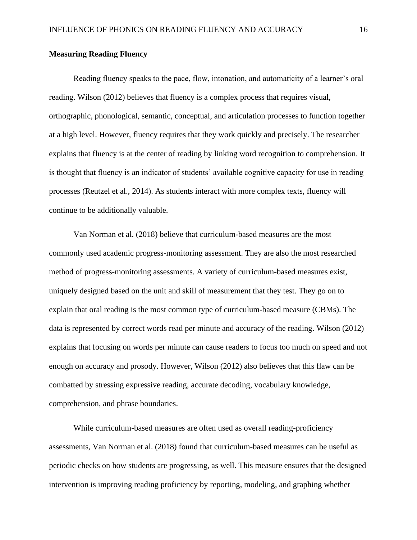#### **Measuring Reading Fluency**

Reading fluency speaks to the pace, flow, intonation, and automaticity of a learner's oral reading. Wilson (2012) believes that fluency is a complex process that requires visual, orthographic, phonological, semantic, conceptual, and articulation processes to function together at a high level. However, fluency requires that they work quickly and precisely. The researcher explains that fluency is at the center of reading by linking word recognition to comprehension. It is thought that fluency is an indicator of students' available cognitive capacity for use in reading processes (Reutzel et al., 2014). As students interact with more complex texts, fluency will continue to be additionally valuable.

Van Norman et al. (2018) believe that curriculum-based measures are the most commonly used academic progress-monitoring assessment. They are also the most researched method of progress-monitoring assessments. A variety of curriculum-based measures exist, uniquely designed based on the unit and skill of measurement that they test. They go on to explain that oral reading is the most common type of curriculum-based measure (CBMs). The data is represented by correct words read per minute and accuracy of the reading. Wilson (2012) explains that focusing on words per minute can cause readers to focus too much on speed and not enough on accuracy and prosody. However, Wilson (2012) also believes that this flaw can be combatted by stressing expressive reading, accurate decoding, vocabulary knowledge, comprehension, and phrase boundaries.

While curriculum-based measures are often used as overall reading-proficiency assessments, Van Norman et al. (2018) found that curriculum-based measures can be useful as periodic checks on how students are progressing, as well. This measure ensures that the designed intervention is improving reading proficiency by reporting, modeling, and graphing whether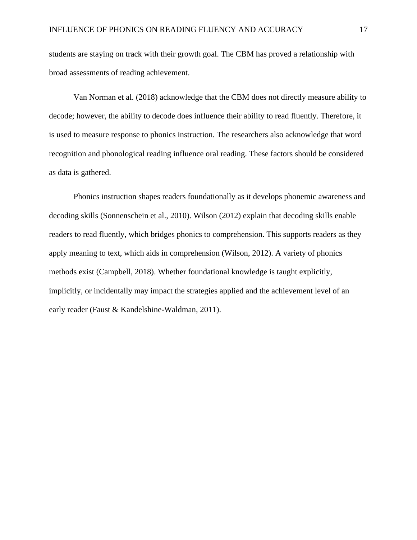students are staying on track with their growth goal. The CBM has proved a relationship with broad assessments of reading achievement.

Van Norman et al. (2018) acknowledge that the CBM does not directly measure ability to decode; however, the ability to decode does influence their ability to read fluently. Therefore, it is used to measure response to phonics instruction. The researchers also acknowledge that word recognition and phonological reading influence oral reading. These factors should be considered as data is gathered.

Phonics instruction shapes readers foundationally as it develops phonemic awareness and decoding skills (Sonnenschein et al., 2010). Wilson (2012) explain that decoding skills enable readers to read fluently, which bridges phonics to comprehension. This supports readers as they apply meaning to text, which aids in comprehension (Wilson, 2012). A variety of phonics methods exist (Campbell, 2018). Whether foundational knowledge is taught explicitly, implicitly, or incidentally may impact the strategies applied and the achievement level of an early reader (Faust & Kandelshine-Waldman, 2011).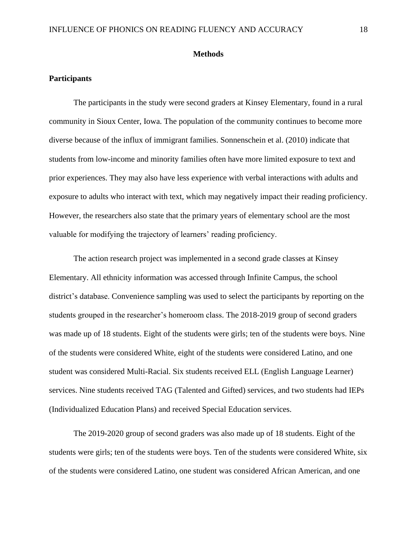#### **Methods**

#### **Participants**

The participants in the study were second graders at Kinsey Elementary, found in a rural community in Sioux Center, Iowa. The population of the community continues to become more diverse because of the influx of immigrant families. Sonnenschein et al. (2010) indicate that students from low-income and minority families often have more limited exposure to text and prior experiences. They may also have less experience with verbal interactions with adults and exposure to adults who interact with text, which may negatively impact their reading proficiency. However, the researchers also state that the primary years of elementary school are the most valuable for modifying the trajectory of learners' reading proficiency.

The action research project was implemented in a second grade classes at Kinsey Elementary. All ethnicity information was accessed through Infinite Campus, the school district's database. Convenience sampling was used to select the participants by reporting on the students grouped in the researcher's homeroom class. The 2018-2019 group of second graders was made up of 18 students. Eight of the students were girls; ten of the students were boys. Nine of the students were considered White, eight of the students were considered Latino, and one student was considered Multi-Racial. Six students received ELL (English Language Learner) services. Nine students received TAG (Talented and Gifted) services, and two students had IEPs (Individualized Education Plans) and received Special Education services.

The 2019-2020 group of second graders was also made up of 18 students. Eight of the students were girls; ten of the students were boys. Ten of the students were considered White, six of the students were considered Latino, one student was considered African American, and one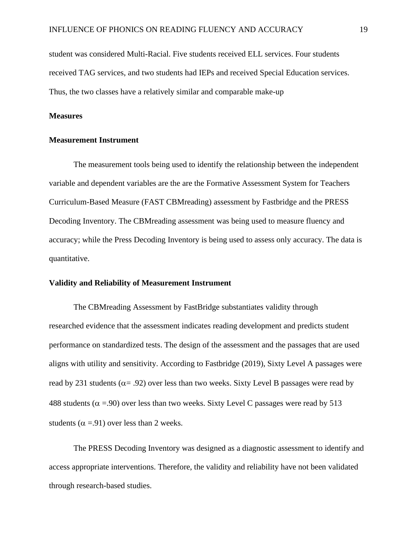student was considered Multi-Racial. Five students received ELL services. Four students received TAG services, and two students had IEPs and received Special Education services. Thus, the two classes have a relatively similar and comparable make-up

#### **Measures**

#### **Measurement Instrument**

The measurement tools being used to identify the relationship between the independent variable and dependent variables are the are the Formative Assessment System for Teachers Curriculum-Based Measure (FAST CBMreading) assessment by Fastbridge and the PRESS Decoding Inventory. The CBMreading assessment was being used to measure fluency and accuracy; while the Press Decoding Inventory is being used to assess only accuracy. The data is quantitative.

#### **Validity and Reliability of Measurement Instrument**

The CBMreading Assessment by FastBridge substantiates validity through researched evidence that the assessment indicates reading development and predicts student performance on standardized tests. The design of the assessment and the passages that are used aligns with utility and sensitivity. According to Fastbridge (2019), Sixty Level A passages were read by 231 students ( $\alpha$  = .92) over less than two weeks. Sixty Level B passages were read by 488 students ( $\alpha$  =.90) over less than two weeks. Sixty Level C passages were read by 513 students ( $\alpha$  =.91) over less than 2 weeks.

The PRESS Decoding Inventory was designed as a diagnostic assessment to identify and access appropriate interventions. Therefore, the validity and reliability have not been validated through research-based studies.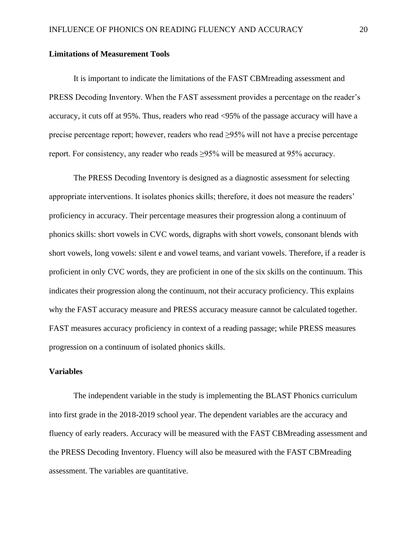#### **Limitations of Measurement Tools**

It is important to indicate the limitations of the FAST CBMreading assessment and PRESS Decoding Inventory. When the FAST assessment provides a percentage on the reader's accuracy, it cuts off at 95%. Thus, readers who read <95% of the passage accuracy will have a precise percentage report; however, readers who read ≥95% will not have a precise percentage report. For consistency, any reader who reads ≥95% will be measured at 95% accuracy.

The PRESS Decoding Inventory is designed as a diagnostic assessment for selecting appropriate interventions. It isolates phonics skills; therefore, it does not measure the readers' proficiency in accuracy. Their percentage measures their progression along a continuum of phonics skills: short vowels in CVC words, digraphs with short vowels, consonant blends with short vowels, long vowels: silent e and vowel teams, and variant vowels. Therefore, if a reader is proficient in only CVC words, they are proficient in one of the six skills on the continuum. This indicates their progression along the continuum, not their accuracy proficiency. This explains why the FAST accuracy measure and PRESS accuracy measure cannot be calculated together. FAST measures accuracy proficiency in context of a reading passage; while PRESS measures progression on a continuum of isolated phonics skills.

#### **Variables**

The independent variable in the study is implementing the BLAST Phonics curriculum into first grade in the 2018-2019 school year. The dependent variables are the accuracy and fluency of early readers. Accuracy will be measured with the FAST CBMreading assessment and the PRESS Decoding Inventory. Fluency will also be measured with the FAST CBMreading assessment. The variables are quantitative.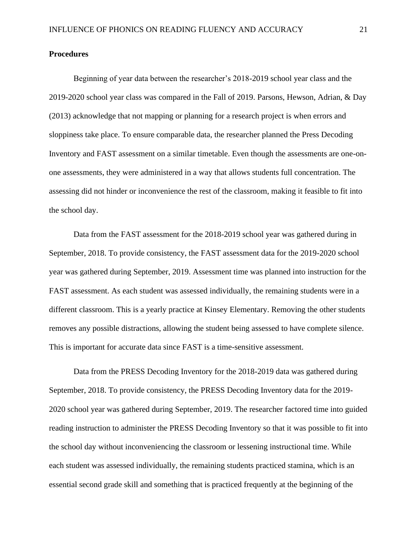#### **Procedures**

Beginning of year data between the researcher's 2018-2019 school year class and the 2019-2020 school year class was compared in the Fall of 2019. Parsons, Hewson, Adrian, & Day (2013) acknowledge that not mapping or planning for a research project is when errors and sloppiness take place. To ensure comparable data, the researcher planned the Press Decoding Inventory and FAST assessment on a similar timetable. Even though the assessments are one-onone assessments, they were administered in a way that allows students full concentration. The assessing did not hinder or inconvenience the rest of the classroom, making it feasible to fit into the school day.

Data from the FAST assessment for the 2018-2019 school year was gathered during in September, 2018. To provide consistency, the FAST assessment data for the 2019-2020 school year was gathered during September, 2019. Assessment time was planned into instruction for the FAST assessment. As each student was assessed individually, the remaining students were in a different classroom. This is a yearly practice at Kinsey Elementary. Removing the other students removes any possible distractions, allowing the student being assessed to have complete silence. This is important for accurate data since FAST is a time-sensitive assessment.

Data from the PRESS Decoding Inventory for the 2018-2019 data was gathered during September, 2018. To provide consistency, the PRESS Decoding Inventory data for the 2019- 2020 school year was gathered during September, 2019. The researcher factored time into guided reading instruction to administer the PRESS Decoding Inventory so that it was possible to fit into the school day without inconveniencing the classroom or lessening instructional time. While each student was assessed individually, the remaining students practiced stamina, which is an essential second grade skill and something that is practiced frequently at the beginning of the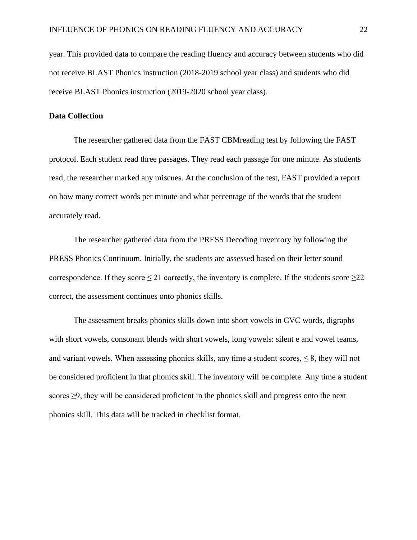year. This provided data to compare the reading fluency and accuracy between students who did not receive BLAST Phonics instruction (2018-2019 school year class) and students who did receive BLAST Phonics instruction (2019-2020 school year class).

#### **Data Collection**

The researcher gathered data from the FAST CBMreading test by following the FAST protocol. Each student read three passages. They read each passage for one minute. As students read, the researcher marked any miscues. At the conclusion of the test, FAST provided a report on how many correct words per minute and what percentage of the words that the student accurately read.

The researcher gathered data from the PRESS Decoding Inventory by following the PRESS Phonics Continuum. Initially, the students are assessed based on their letter sound correspondence. If they score  $\leq$  21 correctly, the inventory is complete. If the students score  $\geq$  22 correct, the assessment continues onto phonics skills.

The assessment breaks phonics skills down into short vowels in CVC words, digraphs with short vowels, consonant blends with short vowels, long vowels: silent e and vowel teams, and variant vowels. When assessing phonics skills, any time a student scores,  $\leq 8$ , they will not be considered proficient in that phonics skill. The inventory will be complete. Any time a student scores ≥9, they will be considered proficient in the phonics skill and progress onto the next phonics skill. This data will be tracked in checklist format.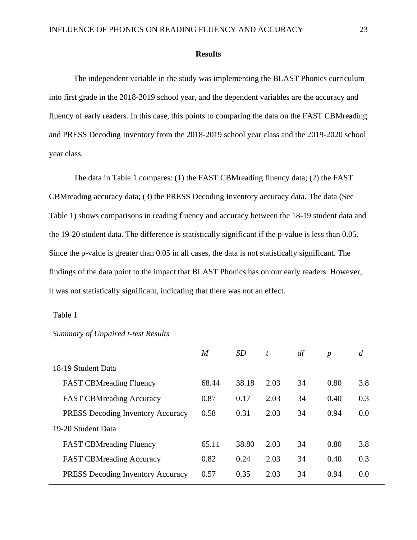#### **Results**

The independent variable in the study was implementing the BLAST Phonics curriculum into first grade in the 2018-2019 school year, and the dependent variables are the accuracy and fluency of early readers. In this case, this points to comparing the data on the FAST CBMreading and PRESS Decoding Inventory from the 2018-2019 school year class and the 2019-2020 school year class.

The data in Table 1 compares: (1) the FAST CBMreading fluency data; (2) the FAST CBMreading accuracy data; (3) the PRESS Decoding Inventory accuracy data. The data (See Table 1) shows comparisons in reading fluency and accuracy between the 18-19 student data and the 19-20 student data. The difference is statistically significant if the p-value is less than 0.05. Since the p-value is greater than 0.05 in all cases, the data is not statistically significant. The findings of the data point to the impact that BLAST Phonics has on our early readers. However, it was not statistically significant, indicating that there was not an effect.

#### Table 1

|                                          | $\boldsymbol{M}$ | SD    | t    | df | $\boldsymbol{p}$ | $\overline{d}$ |
|------------------------------------------|------------------|-------|------|----|------------------|----------------|
| 18-19 Student Data                       |                  |       |      |    |                  |                |
| <b>FAST CBMreading Fluency</b>           | 68.44            | 38.18 | 2.03 | 34 | 0.80             | 3.8            |
| <b>FAST CBM</b> reading Accuracy         | 0.87             | 0.17  | 2.03 | 34 | 0.40             | 0.3            |
| <b>PRESS Decoding Inventory Accuracy</b> | 0.58             | 0.31  | 2.03 | 34 | 0.94             | 0.0            |
| 19-20 Student Data                       |                  |       |      |    |                  |                |
| <b>FAST CBMreading Fluency</b>           | 65.11            | 38.80 | 2.03 | 34 | 0.80             | 3.8            |
| <b>FAST CBM</b> reading Accuracy         | 0.82             | 0.24  | 2.03 | 34 | 0.40             | 0.3            |
| <b>PRESS</b> Decoding Inventory Accuracy | 0.57             | 0.35  | 2.03 | 34 | 0.94             | 0.0            |

*Summary of Unpaired t-test Results*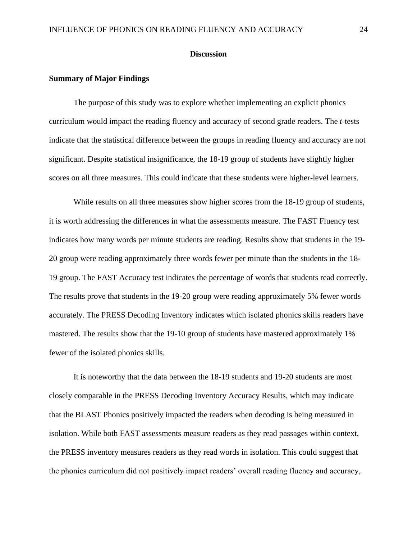#### **Discussion**

#### **Summary of Major Findings**

The purpose of this study was to explore whether implementing an explicit phonics curriculum would impact the reading fluency and accuracy of second grade readers. The *t*-tests indicate that the statistical difference between the groups in reading fluency and accuracy are not significant. Despite statistical insignificance, the 18-19 group of students have slightly higher scores on all three measures. This could indicate that these students were higher-level learners.

While results on all three measures show higher scores from the 18-19 group of students, it is worth addressing the differences in what the assessments measure. The FAST Fluency test indicates how many words per minute students are reading. Results show that students in the 19- 20 group were reading approximately three words fewer per minute than the students in the 18- 19 group. The FAST Accuracy test indicates the percentage of words that students read correctly. The results prove that students in the 19-20 group were reading approximately 5% fewer words accurately. The PRESS Decoding Inventory indicates which isolated phonics skills readers have mastered. The results show that the 19-10 group of students have mastered approximately 1% fewer of the isolated phonics skills.

It is noteworthy that the data between the 18-19 students and 19-20 students are most closely comparable in the PRESS Decoding Inventory Accuracy Results, which may indicate that the BLAST Phonics positively impacted the readers when decoding is being measured in isolation. While both FAST assessments measure readers as they read passages within context, the PRESS inventory measures readers as they read words in isolation. This could suggest that the phonics curriculum did not positively impact readers' overall reading fluency and accuracy,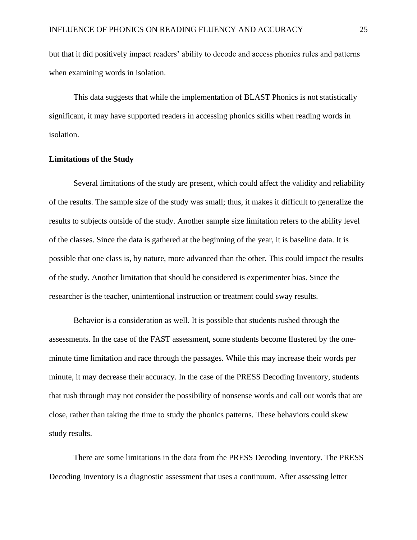but that it did positively impact readers' ability to decode and access phonics rules and patterns when examining words in isolation.

This data suggests that while the implementation of BLAST Phonics is not statistically significant, it may have supported readers in accessing phonics skills when reading words in isolation.

#### **Limitations of the Study**

Several limitations of the study are present, which could affect the validity and reliability of the results. The sample size of the study was small; thus, it makes it difficult to generalize the results to subjects outside of the study. Another sample size limitation refers to the ability level of the classes. Since the data is gathered at the beginning of the year, it is baseline data. It is possible that one class is, by nature, more advanced than the other. This could impact the results of the study. Another limitation that should be considered is experimenter bias. Since the researcher is the teacher, unintentional instruction or treatment could sway results.

Behavior is a consideration as well. It is possible that students rushed through the assessments. In the case of the FAST assessment, some students become flustered by the oneminute time limitation and race through the passages. While this may increase their words per minute, it may decrease their accuracy. In the case of the PRESS Decoding Inventory, students that rush through may not consider the possibility of nonsense words and call out words that are close, rather than taking the time to study the phonics patterns. These behaviors could skew study results.

There are some limitations in the data from the PRESS Decoding Inventory. The PRESS Decoding Inventory is a diagnostic assessment that uses a continuum. After assessing letter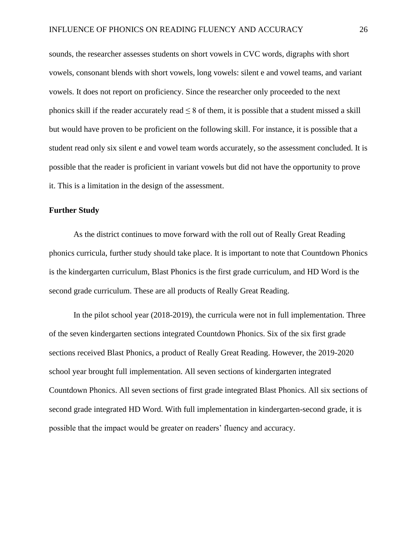sounds, the researcher assesses students on short vowels in CVC words, digraphs with short vowels, consonant blends with short vowels, long vowels: silent e and vowel teams, and variant vowels. It does not report on proficiency. Since the researcher only proceeded to the next phonics skill if the reader accurately read  $\leq 8$  of them, it is possible that a student missed a skill but would have proven to be proficient on the following skill. For instance, it is possible that a student read only six silent e and vowel team words accurately, so the assessment concluded. It is possible that the reader is proficient in variant vowels but did not have the opportunity to prove it. This is a limitation in the design of the assessment.

#### **Further Study**

As the district continues to move forward with the roll out of Really Great Reading phonics curricula, further study should take place. It is important to note that Countdown Phonics is the kindergarten curriculum, Blast Phonics is the first grade curriculum, and HD Word is the second grade curriculum. These are all products of Really Great Reading.

In the pilot school year (2018-2019), the curricula were not in full implementation. Three of the seven kindergarten sections integrated Countdown Phonics. Six of the six first grade sections received Blast Phonics, a product of Really Great Reading. However, the 2019-2020 school year brought full implementation. All seven sections of kindergarten integrated Countdown Phonics. All seven sections of first grade integrated Blast Phonics. All six sections of second grade integrated HD Word. With full implementation in kindergarten-second grade, it is possible that the impact would be greater on readers' fluency and accuracy.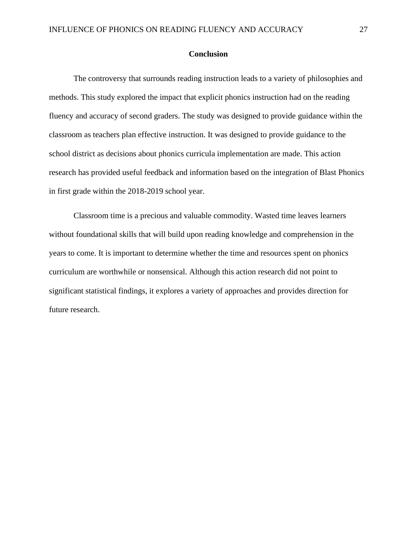#### **Conclusion**

The controversy that surrounds reading instruction leads to a variety of philosophies and methods. This study explored the impact that explicit phonics instruction had on the reading fluency and accuracy of second graders. The study was designed to provide guidance within the classroom as teachers plan effective instruction. It was designed to provide guidance to the school district as decisions about phonics curricula implementation are made. This action research has provided useful feedback and information based on the integration of Blast Phonics in first grade within the 2018-2019 school year.

Classroom time is a precious and valuable commodity. Wasted time leaves learners without foundational skills that will build upon reading knowledge and comprehension in the years to come. It is important to determine whether the time and resources spent on phonics curriculum are worthwhile or nonsensical. Although this action research did not point to significant statistical findings, it explores a variety of approaches and provides direction for future research.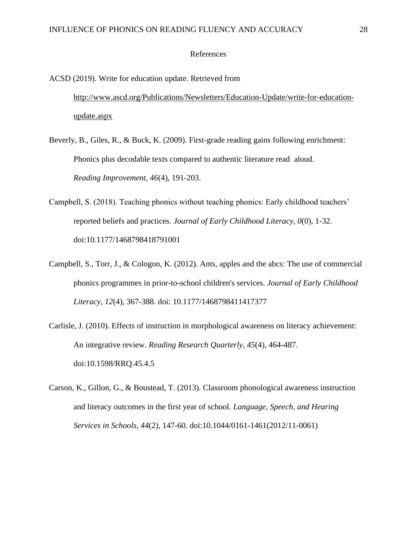#### References

# ACSD (2019). Write for education update. Retrieved from [http://www.ascd.org/Publications/Newsletters/Education-Update/write-for-education](http://www.ascd.org/Publications/Newsletters/Education-Update/write-for-education-%09update.aspx)[update.aspx](http://www.ascd.org/Publications/Newsletters/Education-Update/write-for-education-%09update.aspx)

- Beverly, B., Giles, R., & Buck, K. (2009). First-grade reading gains following enrichment: Phonics plus decodable texts compared to authentic literature read aloud. *Reading Improvement, 46*(4), 191-203.
- Campbell, S. (2018). Teaching phonics without teaching phonics: Early childhood teachers' reported beliefs and practices. *Journal of Early Childhood Literacy, 0*(0), 1-32. doi:10.1177/1468798418791001
- Campbell, S., Torr, J., & Cologon, K. (2012). Ants, apples and the abcs: The use of commercial phonics programmes in prior-to-school children's services. *Journal of Early Childhood Literacy*, *12*(4), 367-388. doi: 10.1177/1468798411417377
- Carlisle, J. (2010). Effects of instruction in morphological awareness on literacy achievement: An integrative review. *Reading Research Quarterly, 45*(4), 464-487. doi:10.1598/RRQ.45.4.5
- Carson, K., Gillon, G., & Boustead, T. (2013). Classroom phonological awareness instruction and literacy outcomes in the first year of school. *Language, Speech, and Hearing Services in Schools, 44*(2), 147-60. doi:10.1044/0161-1461(2012/11-0061)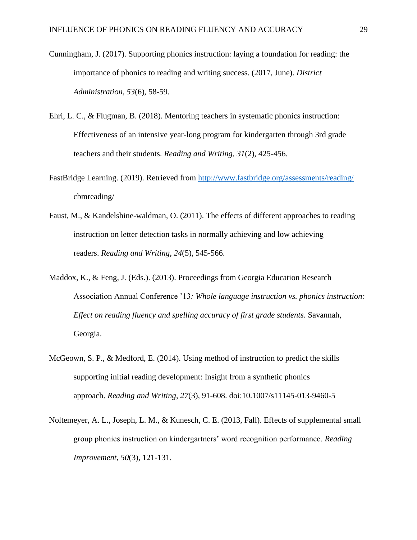- Cunningham, J. (2017). Supporting phonics instruction: laying a foundation for reading: the importance of phonics to reading and writing success. (2017, June). *District Administration, 53*(6), 58-59.
- Ehri, L. C., & Flugman, B. (2018). Mentoring teachers in systematic phonics instruction: Effectiveness of an intensive year-long program for kindergarten through 3rd grade teachers and their students. *Reading and Writing*, *31*(2), 425-456.
- FastBridge Learning. (2019). Retrieved from<http://www.fastbridge.org/assessments/reading/> cbmreading/
- Faust, M., & Kandelshine-waldman, O. (2011). The effects of different approaches to reading instruction on letter detection tasks in normally achieving and low achieving readers. *Reading and Writing*, *24*(5), 545-566.
- Maddox, K., & Feng, J. (Eds.). (2013). Proceedings from Georgia Education Research Association Annual Conference '13*: Whole language instruction vs. phonics instruction: Effect on reading fluency and spelling accuracy of first grade students*. Savannah, Georgia.
- McGeown, S. P., & Medford, E. (2014). Using method of instruction to predict the skills supporting initial reading development: Insight from a synthetic phonics approach. *Reading and Writing*, *27*(3), 91-608. doi:10.1007/s11145-013-9460-5
- Noltemeyer, A. L., Joseph, L. M., & Kunesch, C. E. (2013, Fall). Effects of supplemental small group phonics instruction on kindergartners' word recognition performance. *Reading Improvement*, *50*(3), 121-131.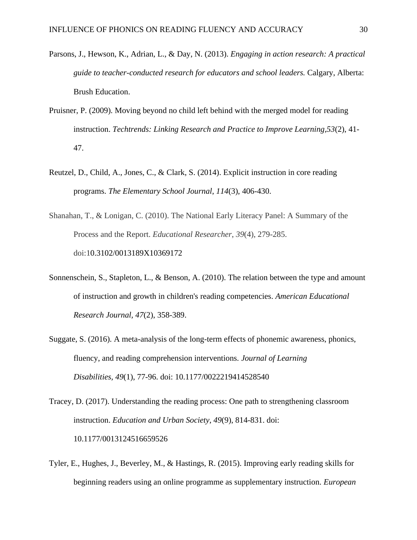- Parsons, J., Hewson, K., Adrian, L., & Day, N. (2013). *Engaging in action research: A practical guide to teacher-conducted research for educators and school leaders.* Calgary, Alberta: Brush Education.
- Pruisner, P. (2009). Moving beyond no child left behind with the merged model for reading instruction. *Techtrends: Linking Research and Practice to Improve Learning,53*(2), 41- 47.
- Reutzel, D., Child, A., Jones, C., & Clark, S. (2014). Explicit instruction in core reading programs. *The Elementary School Journal*, *114*(3), 406-430.
- Shanahan, T., & Lonigan, C. (2010). The National Early Literacy Panel: A Summary of the Process and the Report. *Educational Researcher*, *39*(4), 279-285. doi:10.3102/0013189X10369172
- Sonnenschein, S., Stapleton, L., & Benson, A. (2010). The relation between the type and amount of instruction and growth in children's reading competencies. *American Educational Research Journal, 47*(2), 358-389.
- Suggate, S. (2016). A meta-analysis of the long-term effects of phonemic awareness, phonics, fluency, and reading comprehension interventions. *Journal of Learning Disabilities, 49*(1), 77-96. doi: 10.1177/0022219414528540
- Tracey, D. (2017). Understanding the reading process: One path to strengthening classroom instruction. *Education and Urban Society*, *49*(9), 814-831. doi: 10.1177/0013124516659526
- Tyler, E., Hughes, J., Beverley, M., & Hastings, R. (2015). Improving early reading skills for beginning readers using an online programme as supplementary instruction. *European*